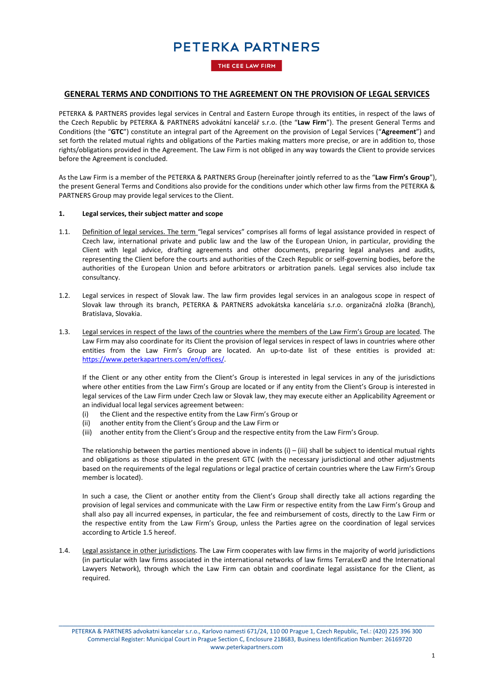THE CEE LAW FIRM

### **GENERAL TERMS AND CONDITIONS TO THE AGREEMENT ON THE PROVISION OF LEGAL SERVICES**

PETERKA & PARTNERS provides legal services in Central and Eastern Europe through its entities, in respect of the laws of the Czech Republic by PETERKA & PARTNERS advokátní kancelář s.r.o. (the "**Law Firm**"). The present General Terms and Conditions (the "**GTC**") constitute an integral part of the Agreement on the provision of Legal Services ("**Agreement**") and set forth the related mutual rights and obligations of the Parties making matters more precise, or are in addition to, those rights/obligations provided in the Agreement. The Law Firm is not obliged in any way towards the Client to provide services before the Agreement is concluded.

As the Law Firm is a member of the PETERKA & PARTNERS Group (hereinafter jointly referred to as the "**Law Firm's Group**"), the present General Terms and Conditions also provide for the conditions under which other law firms from the PETERKA & PARTNERS Group may provide legal services to the Client.

#### **1. Legal services, their subject matter and scope**

- 1.1. Definition of legal services. The term "legal services" comprises all forms of legal assistance provided in respect of Czech law, international private and public law and the law of the European Union, in particular, providing the Client with legal advice, drafting agreements and other documents, preparing legal analyses and audits, representing the Client before the courts and authorities of the Czech Republic or self-governing bodies, before the authorities of the European Union and before arbitrators or arbitration panels. Legal services also include tax consultancy.
- 1.2. Legal services in respect of Slovak law. The law firm provides legal services in an analogous scope in respect of Slovak law through its branch, PETERKA & PARTNERS advokátska kancelária s.r.o. organizačná zložka (Branch), Bratislava, Slovakia.
- <span id="page-0-0"></span>1.3. Legal services in respect of the laws of the countries where the members of the Law Firm's Group are located. The Law Firm may also coordinate for its Client the provision of legal services in respect of laws in countries where other entities from the Law Firm's Group are located. An up-to-date list of these entities is provided at: [https://www.peterkapartners.com/en/offices/.](https://www.peterkapartners.com/en/offices/)

If the Client or any other entity from the Client's Group is interested in legal services in any of the jurisdictions where other entities from the Law Firm's Group are located or if any entity from the Client's Group is interested in legal services of the Law Firm under Czech law or Slovak law, they may execute either an Applicability Agreement or an individual local legal services agreement between:

- (i) the Client and the respective entity from the Law Firm's Group or
- (ii) another entity from the Client's Group and the Law Firm or
- (iii) another entity from the Client's Group and the respective entity from the Law Firm's Group.

The relationship between the parties mentioned above in indents  $(i) - (iii)$  shall be subject to identical mutual rights and obligations as those stipulated in the present GTC (with the necessary jurisdictional and other adjustments based on the requirements of the legal regulations or legal practice of certain countries where the Law Firm's Group member is located).

In such a case, the Client or another entity from the Client's Group shall directly take all actions regarding the provision of legal services and communicate with the Law Firm or respective entity from the Law Firm's Group and shall also pay all incurred expenses, in particular, the fee and reimbursement of costs, directly to the Law Firm or the respective entity from the Law Firm's Group, unless the Parties agree on the coordination of legal services according to Article 1.5 hereof.

<span id="page-0-1"></span>1.4. Legal assistance in other jurisdictions. The Law Firm cooperates with law firms in the majority of world jurisdictions (in particular with law firms associated in the international networks of law firms TerraLex© and the International Lawyers Network), through which the Law Firm can obtain and coordinate legal assistance for the Client, as required.

\_\_\_\_\_\_\_\_\_\_\_\_\_\_\_\_\_\_\_\_\_\_\_\_\_\_\_\_\_\_\_\_\_\_\_\_\_\_\_\_\_\_\_\_\_\_\_\_\_\_\_\_\_\_\_\_\_\_\_\_\_\_\_\_\_\_\_\_\_\_\_\_\_\_\_\_\_\_\_\_\_\_\_\_\_\_\_\_\_\_\_\_\_\_\_\_\_\_\_\_\_

PETERKA & PARTNERS advokatni kancelar s.r.o., Karlovo namesti 671/24, 110 00 Prague 1, Czech Republic, Tel.: (420) 225 396 300 Commercial Register: Municipal Court in Prague Section C, Enclosure 218683, Business Identification Number: 26169720 www.peterkapartners.com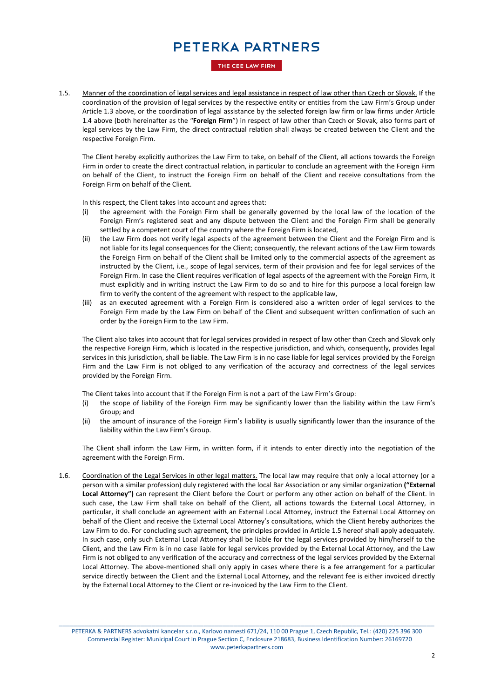THE CEE LAW FIRM

1.5. Manner of the coordination of legal services and legal assistance in respect of law other than Czech or Slovak. If the coordination of the provision of legal services by the respective entity or entities from the Law Firm's Group under Article [1.3](#page-0-0) above, or the coordination of legal assistance by the selected foreign law firm or law firms under Article [1.4](#page-0-1) above (both hereinafter as the "**Foreign Firm**") in respect of law other than Czech or Slovak, also forms part of legal services by the Law Firm, the direct contractual relation shall always be created between the Client and the respective Foreign Firm.

The Client hereby explicitly authorizes the Law Firm to take, on behalf of the Client, all actions towards the Foreign Firm in order to create the direct contractual relation, in particular to conclude an agreement with the Foreign Firm on behalf of the Client, to instruct the Foreign Firm on behalf of the Client and receive consultations from the Foreign Firm on behalf of the Client.

In this respect, the Client takes into account and agrees that:

- (i) the agreement with the Foreign Firm shall be generally governed by the local law of the location of the Foreign Firm's registered seat and any dispute between the Client and the Foreign Firm shall be generally settled by a competent court of the country where the Foreign Firm is located,
- (ii) the Law Firm does not verify legal aspects of the agreement between the Client and the Foreign Firm and is not liable for its legal consequences for the Client; consequently, the relevant actions of the Law Firm towards the Foreign Firm on behalf of the Client shall be limited only to the commercial aspects of the agreement as instructed by the Client, i.e., scope of legal services, term of their provision and fee for legal services of the Foreign Firm. In case the Client requires verification of legal aspects of the agreement with the Foreign Firm, it must explicitly and in writing instruct the Law Firm to do so and to hire for this purpose a local foreign law firm to verify the content of the agreement with respect to the applicable law,
- (iii) as an executed agreement with a Foreign Firm is considered also a written order of legal services to the Foreign Firm made by the Law Firm on behalf of the Client and subsequent written confirmation of such an order by the Foreign Firm to the Law Firm.

The Client also takes into account that for legal services provided in respect of law other than Czech and Slovak only the respective Foreign Firm, which is located in the respective jurisdiction, and which, consequently, provides legal services in this jurisdiction, shall be liable. The Law Firm is in no case liable for legal services provided by the Foreign Firm and the Law Firm is not obliged to any verification of the accuracy and correctness of the legal services provided by the Foreign Firm.

The Client takes into account that if the Foreign Firm is not a part of the Law Firm's Group:

- (i) the scope of liability of the Foreign Firm may be significantly lower than the liability within the Law Firm's Group; and
- (ii) the amount of insurance of the Foreign Firm's liability is usually significantly lower than the insurance of the liability within the Law Firm's Group.

The Client shall inform the Law Firm, in written form, if it intends to enter directly into the negotiation of the agreement with the Foreign Firm.

1.6. Coordination of the Legal Services in other legal matters. The local law may require that only a local attorney (or a person with a similar profession) duly registered with the local Bar Association or any similar organization **("External Local Attorney")** can represent the Client before the Court or perform any other action on behalf of the Client. In such case, the Law Firm shall take on behalf of the Client, all actions towards the External Local Attorney, in particular, it shall conclude an agreement with an External Local Attorney, instruct the External Local Attorney on behalf of the Client and receive the External Local Attorney's consultations, which the Client hereby authorizes the Law Firm to do. For concluding such agreement, the principles provided in Article 1.5 hereof shall apply adequately. In such case, only such External Local Attorney shall be liable for the legal services provided by him/herself to the Client, and the Law Firm is in no case liable for legal services provided by the External Local Attorney, and the Law Firm is not obliged to any verification of the accuracy and correctness of the legal services provided by the External Local Attorney. The above-mentioned shall only apply in cases where there is a fee arrangement for a particular service directly between the Client and the External Local Attorney, and the relevant fee is either invoiced directly by the External Local Attorney to the Client or re-invoiced by the Law Firm to the Client.

\_\_\_\_\_\_\_\_\_\_\_\_\_\_\_\_\_\_\_\_\_\_\_\_\_\_\_\_\_\_\_\_\_\_\_\_\_\_\_\_\_\_\_\_\_\_\_\_\_\_\_\_\_\_\_\_\_\_\_\_\_\_\_\_\_\_\_\_\_\_\_\_\_\_\_\_\_\_\_\_\_\_\_\_\_\_\_\_\_\_\_\_\_\_\_\_\_\_\_\_\_ PETERKA & PARTNERS advokatni kancelar s.r.o., Karlovo namesti 671/24, 110 00 Prague 1, Czech Republic, Tel.: (420) 225 396 300 Commercial Register: Municipal Court in Prague Section C, Enclosure 218683, Business Identification Number: 26169720 www.peterkapartners.com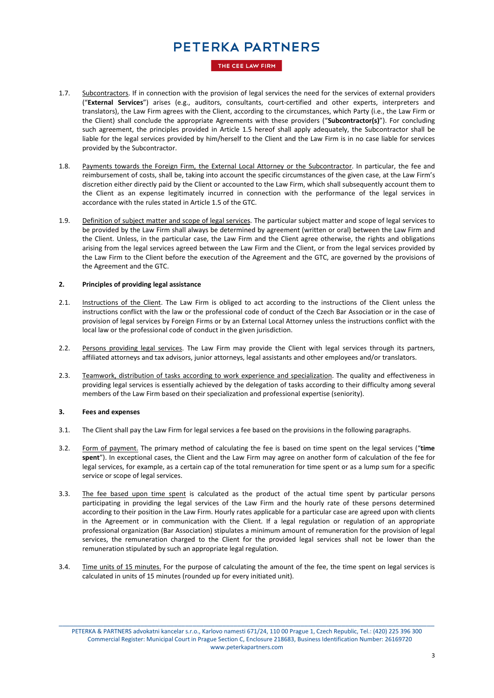THE CEE LAW FIRM

- 1.7. Subcontractors. If in connection with the provision of legal services the need for the services of external providers ("**External Services**") arises (e.g., auditors, consultants, court-certified and other experts, interpreters and translators), the Law Firm agrees with the Client, according to the circumstances, which Party (i.e., the Law Firm or the Client) shall conclude the appropriate Agreements with these providers ("**Subcontractor(s)**"). For concluding such agreement, the principles provided in Article 1.5 hereof shall apply adequately, the Subcontractor shall be liable for the legal services provided by him/herself to the Client and the Law Firm is in no case liable for services provided by the Subcontractor.
- 1.8. Payments towards the Foreign Firm, the External Local Attorney or the Subcontractor. In particular, the fee and reimbursement of costs, shall be, taking into account the specific circumstances of the given case, at the Law Firm's discretion either directly paid by the Client or accounted to the Law Firm, which shall subsequently account them to the Client as an expense legitimately incurred in connection with the performance of the legal services in accordance with the rules stated in Article 1.5 of the GTC.
- 1.9. Definition of subject matter and scope of legal services. The particular subject matter and scope of legal services to be provided by the Law Firm shall always be determined by agreement (written or oral) between the Law Firm and the Client. Unless, in the particular case, the Law Firm and the Client agree otherwise, the rights and obligations arising from the legal services agreed between the Law Firm and the Client, or from the legal services provided by the Law Firm to the Client before the execution of the Agreement and the GTC, are governed by the provisions of the Agreement and the GTC.

#### **2. Principles of providing legal assistance**

- 2.1. Instructions of the Client. The Law Firm is obliged to act according to the instructions of the Client unless the instructions conflict with the law or the professional code of conduct of the Czech Bar Association or in the case of provision of legal services by Foreign Firms or by an External Local Attorney unless the instructions conflict with the local law or the professional code of conduct in the given jurisdiction.
- 2.2. Persons providing legal services. The Law Firm may provide the Client with legal services through its partners, affiliated attorneys and tax advisors, junior attorneys, legal assistants and other employees and/or translators.
- 2.3. Teamwork, distribution of tasks according to work experience and specialization. The quality and effectiveness in providing legal services is essentially achieved by the delegation of tasks according to their difficulty among several members of the Law Firm based on their specialization and professional expertise (seniority).

#### **3. Fees and expenses**

- 3.1. The Client shall pay the Law Firm for legal services a fee based on the provisions in the following paragraphs.
- 3.2. Form of payment. The primary method of calculating the fee is based on time spent on the legal services ("**time spent**"). In exceptional cases, the Client and the Law Firm may agree on another form of calculation of the fee for legal services, for example, as a certain cap of the total remuneration for time spent or as a lump sum for a specific service or scope of legal services.
- 3.3. The fee based upon time spent is calculated as the product of the actual time spent by particular persons participating in providing the legal services of the Law Firm and the hourly rate of these persons determined according to their position in the Law Firm. Hourly rates applicable for a particular case are agreed upon with clients in the Agreement or in communication with the Client. If a legal regulation or regulation of an appropriate professional organization (Bar Association) stipulates a minimum amount of remuneration for the provision of legal services, the remuneration charged to the Client for the provided legal services shall not be lower than the remuneration stipulated by such an appropriate legal regulation.
- 3.4. Time units of 15 minutes. For the purpose of calculating the amount of the fee, the time spent on legal services is calculated in units of 15 minutes (rounded up for every initiated unit).

\_\_\_\_\_\_\_\_\_\_\_\_\_\_\_\_\_\_\_\_\_\_\_\_\_\_\_\_\_\_\_\_\_\_\_\_\_\_\_\_\_\_\_\_\_\_\_\_\_\_\_\_\_\_\_\_\_\_\_\_\_\_\_\_\_\_\_\_\_\_\_\_\_\_\_\_\_\_\_\_\_\_\_\_\_\_\_\_\_\_\_\_\_\_\_\_\_\_\_\_\_ PETERKA & PARTNERS advokatni kancelar s.r.o., Karlovo namesti 671/24, 110 00 Prague 1, Czech Republic, Tel.: (420) 225 396 300 Commercial Register: Municipal Court in Prague Section C, Enclosure 218683, Business Identification Number: 26169720 www.peterkapartners.com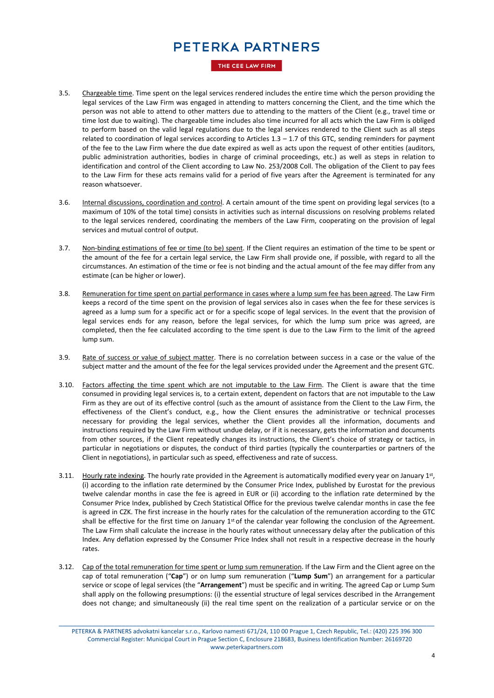THE CEE LAW FIRM

- 3.5. Chargeable time. Time spent on the legal services rendered includes the entire time which the person providing the legal services of the Law Firm was engaged in attending to matters concerning the Client, and the time which the person was not able to attend to other matters due to attending to the matters of the Client (e.g., travel time or time lost due to waiting). The chargeable time includes also time incurred for all acts which the Law Firm is obliged to perform based on the valid legal regulations due to the legal services rendered to the Client such as all steps related to coordination of legal services according to Articles 1.3 – 1.7 of this GTC, sending reminders for payment of the fee to the Law Firm where the due date expired as well as acts upon the request of other entities (auditors, public administration authorities, bodies in charge of criminal proceedings, etc.) as well as steps in relation to identification and control of the Client according to Law No. 253/2008 Coll. The obligation of the Client to pay fees to the Law Firm for these acts remains valid for a period of five years after the Agreement is terminated for any reason whatsoever.
- 3.6. Internal discussions, coordination and control. A certain amount of the time spent on providing legal services (to a maximum of 10% of the total time) consists in activities such as internal discussions on resolving problems related to the legal services rendered, coordinating the members of the Law Firm, cooperating on the provision of legal services and mutual control of output.
- 3.7. Non-binding estimations of fee or time (to be) spent. If the Client requires an estimation of the time to be spent or the amount of the fee for a certain legal service, the Law Firm shall provide one, if possible, with regard to all the circumstances. An estimation of the time or fee is not binding and the actual amount of the fee may differ from any estimate (can be higher or lower).
- 3.8. Remuneration for time spent on partial performance in cases where a lump sum fee has been agreed. The Law Firm keeps a record of the time spent on the provision of legal services also in cases when the fee for these services is agreed as a lump sum for a specific act or for a specific scope of legal services. In the event that the provision of legal services ends for any reason, before the legal services, for which the lump sum price was agreed, are completed, then the fee calculated according to the time spent is due to the Law Firm to the limit of the agreed lump sum.
- 3.9. Rate of success or value of subject matter. There is no correlation between success in a case or the value of the subject matter and the amount of the fee for the legal services provided under the Agreement and the present GTC.
- 3.10. Factors affecting the time spent which are not imputable to the Law Firm. The Client is aware that the time consumed in providing legal services is, to a certain extent, dependent on factors that are not imputable to the Law Firm as they are out of its effective control (such as the amount of assistance from the Client to the Law Firm, the effectiveness of the Client's conduct, e.g., how the Client ensures the administrative or technical processes necessary for providing the legal services, whether the Client provides all the information, documents and instructions required by the Law Firm without undue delay, or if it is necessary, gets the information and documents from other sources, if the Client repeatedly changes its instructions, the Client's choice of strategy or tactics, in particular in negotiations or disputes, the conduct of third parties (typically the counterparties or partners of the Client in negotiations), in particular such as speed, effectiveness and rate of success.
- 3.11. Hourly rate indexing. The hourly rate provided in the Agreement is automatically modified every year on January 1st, (i) according to the inflation rate determined by the Consumer Price Index, published by Eurostat for the previous twelve calendar months in case the fee is agreed in EUR or (ii) according to the inflation rate determined by the Consumer Price Index, published by Czech Statistical Office for the previous twelve calendar months in case the fee is agreed in CZK. The first increase in the hourly rates for the calculation of the remuneration according to the GTC shall be effective for the first time on January  $1^{st}$  of the calendar year following the conclusion of the Agreement. The Law Firm shall calculate the increase in the hourly rates without unnecessary delay after the publication of this Index. Any deflation expressed by the Consumer Price Index shall not result in a respective decrease in the hourly rates.
- 3.12. Cap of the total remuneration for time spent or lump sum remuneration. If the Law Firm and the Client agree on the cap of total remuneration ("**Cap**") or on lump sum remuneration ("**Lump Sum**") an arrangement for a particular service or scope of legal services (the "**Arrangement**") must be specific and in writing. The agreed Cap or Lump Sum shall apply on the following presumptions: (i) the essential structure of legal services described in the Arrangement does not change; and simultaneously (ii) the real time spent on the realization of a particular service or on the

\_\_\_\_\_\_\_\_\_\_\_\_\_\_\_\_\_\_\_\_\_\_\_\_\_\_\_\_\_\_\_\_\_\_\_\_\_\_\_\_\_\_\_\_\_\_\_\_\_\_\_\_\_\_\_\_\_\_\_\_\_\_\_\_\_\_\_\_\_\_\_\_\_\_\_\_\_\_\_\_\_\_\_\_\_\_\_\_\_\_\_\_\_\_\_\_\_\_\_\_\_ PETERKA & PARTNERS advokatni kancelar s.r.o., Karlovo namesti 671/24, 110 00 Prague 1, Czech Republic, Tel.: (420) 225 396 300 Commercial Register: Municipal Court in Prague Section C, Enclosure 218683, Business Identification Number: 26169720 www.peterkapartners.com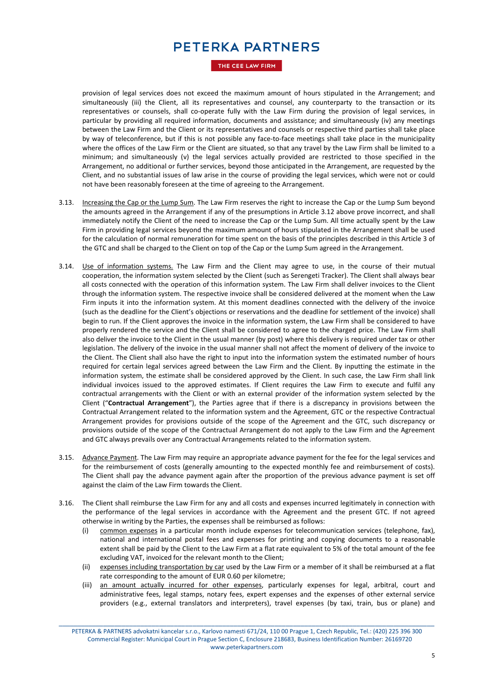THE CEE LAW FIRM

provision of legal services does not exceed the maximum amount of hours stipulated in the Arrangement; and simultaneously (iii) the Client, all its representatives and counsel, any counterparty to the transaction or its representatives or counsels, shall co-operate fully with the Law Firm during the provision of legal services, in particular by providing all required information, documents and assistance; and simultaneously (iv) any meetings between the Law Firm and the Client or its representatives and counsels or respective third parties shall take place by way of teleconference, but if this is not possible any face-to-face meetings shall take place in the municipality where the offices of the Law Firm or the Client are situated, so that any travel by the Law Firm shall be limited to a minimum; and simultaneously (v) the legal services actually provided are restricted to those specified in the Arrangement, no additional or further services, beyond those anticipated in the Arrangement, are requested by the Client, and no substantial issues of law arise in the course of providing the legal services, which were not or could not have been reasonably foreseen at the time of agreeing to the Arrangement.

- 3.13. Increasing the Cap or the Lump Sum. The Law Firm reserves the right to increase the Cap or the Lump Sum beyond the amounts agreed in the Arrangement if any of the presumptions in Article 3.12 above prove incorrect, and shall immediately notify the Client of the need to increase the Cap or the Lump Sum. All time actually spent by the Law Firm in providing legal services beyond the maximum amount of hours stipulated in the Arrangement shall be used for the calculation of normal remuneration for time spent on the basis of the principles described in this Article 3 of the GTC and shall be charged to the Client on top of the Cap or the Lump Sum agreed in the Arrangement.
- 3.14. Use of information systems. The Law Firm and the Client may agree to use, in the course of their mutual cooperation, the information system selected by the Client (such as Serengeti Tracker). The Client shall always bear all costs connected with the operation of this information system. The Law Firm shall deliver invoices to the Client through the information system. The respective invoice shall be considered delivered at the moment when the Law Firm inputs it into the information system. At this moment deadlines connected with the delivery of the invoice (such as the deadline for the Client's objections or reservations and the deadline for settlement of the invoice) shall begin to run. If the Client approves the invoice in the information system, the Law Firm shall be considered to have properly rendered the service and the Client shall be considered to agree to the charged price. The Law Firm shall also deliver the invoice to the Client in the usual manner (by post) where this delivery is required under tax or other legislation. The delivery of the invoice in the usual manner shall not affect the moment of delivery of the invoice to the Client. The Client shall also have the right to input into the information system the estimated number of hours required for certain legal services agreed between the Law Firm and the Client. By inputting the estimate in the information system, the estimate shall be considered approved by the Client. In such case, the Law Firm shall link individual invoices issued to the approved estimates. If Client requires the Law Firm to execute and fulfil any contractual arrangements with the Client or with an external provider of the information system selected by the Client ("**Contractual Arrangement**"), the Parties agree that if there is a discrepancy in provisions between the Contractual Arrangement related to the information system and the Agreement, GTC or the respective Contractual Arrangement provides for provisions outside of the scope of the Agreement and the GTC, such discrepancy or provisions outside of the scope of the Contractual Arrangement do not apply to the Law Firm and the Agreement and GTC always prevails over any Contractual Arrangements related to the information system.
- 3.15. Advance Payment. The Law Firm may require an appropriate advance payment for the fee for the legal services and for the reimbursement of costs (generally amounting to the expected monthly fee and reimbursement of costs). The Client shall pay the advance payment again after the proportion of the previous advance payment is set off against the claim of the Law Firm towards the Client.
- 3.16. The Client shall reimburse the Law Firm for any and all costs and expenses incurred legitimately in connection with the performance of the legal services in accordance with the Agreement and the present GTC. If not agreed otherwise in writing by the Parties, the expenses shall be reimbursed as follows:
	- common expenses in a particular month include expenses for telecommunication services (telephone, fax), national and international postal fees and expenses for printing and copying documents to a reasonable extent shall be paid by the Client to the Law Firm at a flat rate equivalent to 5% of the total amount of the fee excluding VAT, invoiced for the relevant month to the Client;
	- (ii) expenses including transportation by car used by the Law Firm or a member of it shall be reimbursed at a flat rate corresponding to the amount of EUR 0.60 per kilometre;
	- (iii) an amount actually incurred for other expenses, particularly expenses for legal, arbitral, court and administrative fees, legal stamps, notary fees, expert expenses and the expenses of other external service providers (e.g., external translators and interpreters), travel expenses (by taxi, train, bus or plane) and

\_\_\_\_\_\_\_\_\_\_\_\_\_\_\_\_\_\_\_\_\_\_\_\_\_\_\_\_\_\_\_\_\_\_\_\_\_\_\_\_\_\_\_\_\_\_\_\_\_\_\_\_\_\_\_\_\_\_\_\_\_\_\_\_\_\_\_\_\_\_\_\_\_\_\_\_\_\_\_\_\_\_\_\_\_\_\_\_\_\_\_\_\_\_\_\_\_\_\_\_\_ PETERKA & PARTNERS advokatni kancelar s.r.o., Karlovo namesti 671/24, 110 00 Prague 1, Czech Republic, Tel.: (420) 225 396 300 Commercial Register: Municipal Court in Prague Section C, Enclosure 218683, Business Identification Number: 26169720 www.peterkapartners.com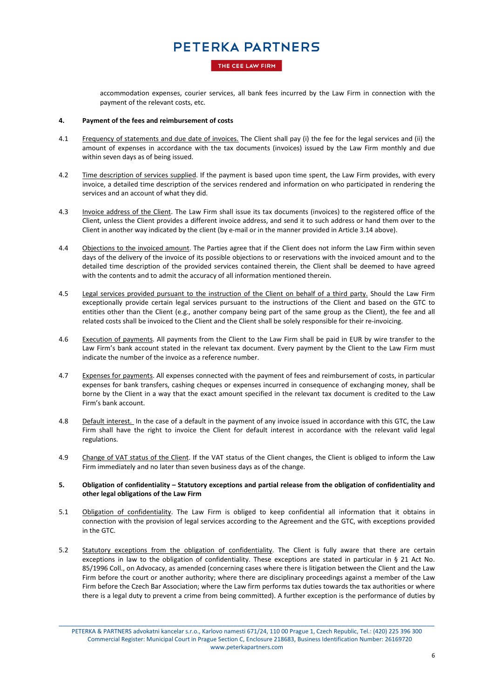#### THE CEE LAW FIRM

accommodation expenses, courier services, all bank fees incurred by the Law Firm in connection with the payment of the relevant costs, etc.

#### **4. Payment of the fees and reimbursement of costs**

- 4.1 Frequency of statements and due date of invoices. The Client shall pay (i) the fee for the legal services and (ii) the amount of expenses in accordance with the tax documents (invoices) issued by the Law Firm monthly and due within seven days as of being issued.
- 4.2 Time description of services supplied. If the payment is based upon time spent, the Law Firm provides, with every invoice, a detailed time description of the services rendered and information on who participated in rendering the services and an account of what they did.
- 4.3 Invoice address of the Client. The Law Firm shall issue its tax documents (invoices) to the registered office of the Client, unless the Client provides a different invoice address, and send it to such address or hand them over to the Client in another way indicated by the client (by e-mail or in the manner provided in Article 3.14 above).
- 4.4 Objections to the invoiced amount. The Parties agree that if the Client does not inform the Law Firm within seven days of the delivery of the invoice of its possible objections to or reservations with the invoiced amount and to the detailed time description of the provided services contained therein, the Client shall be deemed to have agreed with the contents and to admit the accuracy of all information mentioned therein.
- 4.5 Legal services provided pursuant to the instruction of the Client on behalf of a third party. Should the Law Firm exceptionally provide certain legal services pursuant to the instructions of the Client and based on the GTC to entities other than the Client (e.g., another company being part of the same group as the Client), the fee and all related costs shall be invoiced to the Client and the Client shall be solely responsible for their re-invoicing.
- 4.6 Execution of payments. All payments from the Client to the Law Firm shall be paid in EUR by wire transfer to the Law Firm's bank account stated in the relevant tax document. Every payment by the Client to the Law Firm must indicate the number of the invoice as a reference number.
- 4.7 Expenses for payments. All expenses connected with the payment of fees and reimbursement of costs, in particular expenses for bank transfers, cashing cheques or expenses incurred in consequence of exchanging money, shall be borne by the Client in a way that the exact amount specified in the relevant tax document is credited to the Law Firm's bank account.
- 4.8 Default interest. In the case of a default in the payment of any invoice issued in accordance with this GTC, the Law Firm shall have the right to invoice the Client for default interest in accordance with the relevant valid legal regulations.
- 4.9 Change of VAT status of the Client. If the VAT status of the Client changes, the Client is obliged to inform the Law Firm immediately and no later than seven business days as of the change.

#### **5. Obligation of confidentiality – Statutory exceptions and partial release from the obligation of confidentiality and other legal obligations of the Law Firm**

- 5.1 **Obligation of confidentiality**. The Law Firm is obliged to keep confidential all information that it obtains in connection with the provision of legal services according to the Agreement and the GTC, with exceptions provided in the GTC.
- 5.2 Statutory exceptions from the obligation of confidentiality. The Client is fully aware that there are certain exceptions in law to the obligation of confidentiality. These exceptions are stated in particular in § 21 Act No. 85/1996 Coll., on Advocacy, as amended (concerning cases where there is litigation between the Client and the Law Firm before the court or another authority; where there are disciplinary proceedings against a member of the Law Firm before the Czech Bar Association; where the Law firm performs tax duties towards the tax authorities or where there is a legal duty to prevent a crime from being committed). A further exception is the performance of duties by

\_\_\_\_\_\_\_\_\_\_\_\_\_\_\_\_\_\_\_\_\_\_\_\_\_\_\_\_\_\_\_\_\_\_\_\_\_\_\_\_\_\_\_\_\_\_\_\_\_\_\_\_\_\_\_\_\_\_\_\_\_\_\_\_\_\_\_\_\_\_\_\_\_\_\_\_\_\_\_\_\_\_\_\_\_\_\_\_\_\_\_\_\_\_\_\_\_\_\_\_\_ PETERKA & PARTNERS advokatni kancelar s.r.o., Karlovo namesti 671/24, 110 00 Prague 1, Czech Republic, Tel.: (420) 225 396 300 Commercial Register: Municipal Court in Prague Section C, Enclosure 218683, Business Identification Number: 26169720 www.peterkapartners.com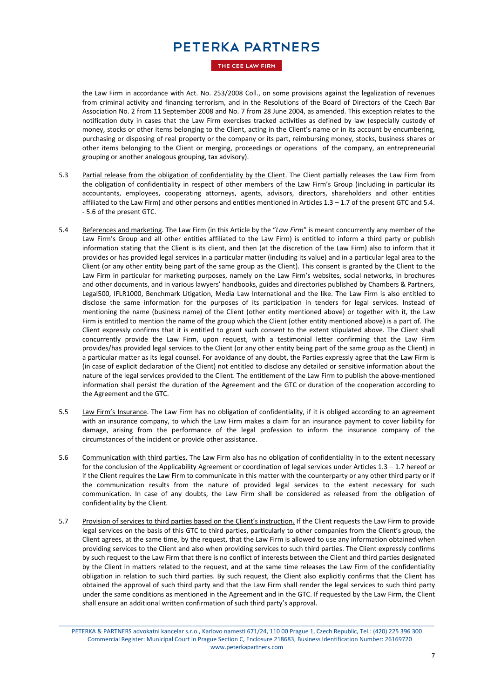THE CEE LAW FIRM

the Law Firm in accordance with Act. No. 253/2008 Coll., on some provisions against the legalization of revenues from criminal activity and financing terrorism, and in the Resolutions of the Board of Directors of the Czech Bar Association No. 2 from 11 September 2008 and No. 7 from 28 June 2004, as amended. This exception relates to the notification duty in cases that the Law Firm exercises tracked activities as defined by law (especially custody of money, stocks or other items belonging to the Client, acting in the Client's name or in its account by encumbering, purchasing or disposing of real property or the company or its part, reimbursing money, stocks, business shares or other items belonging to the Client or merging, proceedings or operations of the company, an entrepreneurial grouping or another analogous grouping, tax advisory).

- 5.3 Partial release from the obligation of confidentiality by the Client. The Client partially releases the Law Firm from the obligation of confidentiality in respect of other members of the Law Firm's Group (including in particular its accountants, employees, cooperating attorneys, agents, advisors, directors, shareholders and other entities affiliated to the Law Firm) and other persons and entities mentioned in Articles  $1.3 - 1.7$  of the present GTC and 5.4. - 5.6 of the present GTC.
- 5.4 References and marketing. The Law Firm (in this Article by the "*Law Firm*" is meant concurrently any member of the Law Firm's Group and all other entities affiliated to the Law Firm) is entitled to inform a third party or publish information stating that the Client is its client, and then (at the discretion of the Law Firm) also to inform that it provides or has provided legal services in a particular matter (including its value) and in a particular legal area to the Client (or any other entity being part of the same group as the Client). This consent is granted by the Client to the Law Firm in particular for marketing purposes, namely on the Law Firm's websites, social networks, in brochures and other documents, and in various lawyers' handbooks, guides and directories published by Chambers & Partners, Legal500, IFLR1000, Benchmark Litigation, Media Law International and the like. The Law Firm is also entitled to disclose the same information for the purposes of its participation in tenders for legal services. Instead of mentioning the name (business name) of the Client (other entity mentioned above) or together with it, the Law Firm is entitled to mention the name of the group which the Client (other entity mentioned above) is a part of. The Client expressly confirms that it is entitled to grant such consent to the extent stipulated above. The Client shall concurrently provide the Law Firm, upon request, with a testimonial letter confirming that the Law Firm provides/has provided legal services to the Client (or any other entity being part of the same group as the Client) in a particular matter as its legal counsel. For avoidance of any doubt, the Parties expressly agree that the Law Firm is (in case of explicit declaration of the Client) not entitled to disclose any detailed or sensitive information about the nature of the legal services provided to the Client. The entitlement of the Law Firm to publish the above-mentioned information shall persist the duration of the Agreement and the GTC or duration of the cooperation according to the Agreement and the GTC.
- 5.5 Law Firm's Insurance. The Law Firm has no obligation of confidentiality, if it is obliged according to an agreement with an insurance company, to which the Law Firm makes a claim for an insurance payment to cover liability for damage, arising from the performance of the legal profession to inform the insurance company of the circumstances of the incident or provide other assistance.
- 5.6 Communication with third parties. The Law Firm also has no obligation of confidentiality in to the extent necessary for the conclusion of the Applicability Agreement or coordination of legal services under Articles 1.3 – 1.7 hereof or if the Client requires the Law Firm to communicate in this matter with the counterparty or any other third party or if the communication results from the nature of provided legal services to the extent necessary for such communication. In case of any doubts, the Law Firm shall be considered as released from the obligation of confidentiality by the Client.
- 5.7 Provision of services to third parties based on the Client's instruction. If the Client requests the Law Firm to provide legal services on the basis of this GTC to third parties, particularly to other companies from the Client's group, the Client agrees, at the same time, by the request, that the Law Firm is allowed to use any information obtained when providing services to the Client and also when providing services to such third parties. The Client expressly confirms by such request to the Law Firm that there is no conflict of interests between the Client and third parties designated by the Client in matters related to the request, and at the same time releases the Law Firm of the confidentiality obligation in relation to such third parties. By such request, the Client also explicitly confirms that the Client has obtained the approval of such third party and that the Law Firm shall render the legal services to such third party under the same conditions as mentioned in the Agreement and in the GTC. If requested by the Law Firm, the Client shall ensure an additional written confirmation of such third party's approval.

\_\_\_\_\_\_\_\_\_\_\_\_\_\_\_\_\_\_\_\_\_\_\_\_\_\_\_\_\_\_\_\_\_\_\_\_\_\_\_\_\_\_\_\_\_\_\_\_\_\_\_\_\_\_\_\_\_\_\_\_\_\_\_\_\_\_\_\_\_\_\_\_\_\_\_\_\_\_\_\_\_\_\_\_\_\_\_\_\_\_\_\_\_\_\_\_\_\_\_\_\_ PETERKA & PARTNERS advokatni kancelar s.r.o., Karlovo namesti 671/24, 110 00 Prague 1, Czech Republic, Tel.: (420) 225 396 300 Commercial Register: Municipal Court in Prague Section C, Enclosure 218683, Business Identification Number: 26169720 www.peterkapartners.com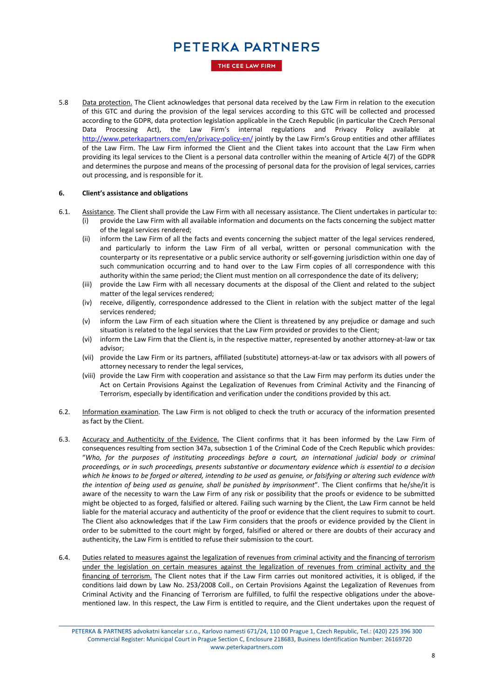THE CEE LAW FIRM

5.8 Data protection. The Client acknowledges that personal data received by the Law Firm in relation to the execution of this GTC and during the provision of the legal services according to this GTC will be collected and processed according to the GDPR, data protection legislation applicable in the Czech Republic (in particular the Czech Personal Data Processing Act), the Law Firm's internal regulations and Privacy Policy available at <http://www.peterkapartners.com/en/privacy-policy-en/> jointly by the Law Firm's Group entities and other affiliates of the Law Firm. The Law Firm informed the Client and the Client takes into account that the Law Firm when providing its legal services to the Client is a personal data controller within the meaning of Article 4(7) of the GDPR and determines the purpose and means of the processing of personal data for the provision of legal services, carries out processing, and is responsible for it.

#### **6. Client's assistance and obligations**

- 6.1. Assistance. The Client shall provide the Law Firm with all necessary assistance. The Client undertakes in particular to:
	- (i) provide the Law Firm with all available information and documents on the facts concerning the subject matter of the legal services rendered;
	- (ii) inform the Law Firm of all the facts and events concerning the subject matter of the legal services rendered, and particularly to inform the Law Firm of all verbal, written or personal communication with the counterparty or its representative or a public service authority or self-governing jurisdiction within one day of such communication occurring and to hand over to the Law Firm copies of all correspondence with this authority within the same period; the Client must mention on all correspondence the date of its delivery;
	- (iii) provide the Law Firm with all necessary documents at the disposal of the Client and related to the subject matter of the legal services rendered;
	- (iv) receive, diligently, correspondence addressed to the Client in relation with the subject matter of the legal services rendered;
	- (v) inform the Law Firm of each situation where the Client is threatened by any prejudice or damage and such situation is related to the legal services that the Law Firm provided or provides to the Client;
	- (vi) inform the Law Firm that the Client is, in the respective matter, represented by another attorney-at-law or tax advisor;
	- (vii) provide the Law Firm or its partners, affiliated (substitute) attorneys-at-law or tax advisors with all powers of attorney necessary to render the legal services,
	- (viii) provide the Law Firm with cooperation and assistance so that the Law Firm may perform its duties under the Act on Certain Provisions Against the Legalization of Revenues from Criminal Activity and the Financing of Terrorism, especially by identification and verification under the conditions provided by this act.
- 6.2. Information examination. The Law Firm is not obliged to check the truth or accuracy of the information presented as fact by the Client.
- 6.3. Accuracy and Authenticity of the Evidence. The Client confirms that it has been informed by the Law Firm of consequences resulting from section 347a, subsection 1 of the Criminal Code of the Czech Republic which provides: "*Who, for the purposes of instituting proceedings before a court, an international judicial body or criminal proceedings, or in such proceedings, presents substantive or documentary evidence which is essential to a decision which he knows to be forged or altered, intending to be used as genuine, or falsifying or altering such evidence with the intention of being used as genuine, shall be punished by imprisonment*". The Client confirms that he/she/it is aware of the necessity to warn the Law Firm of any risk or possibility that the proofs or evidence to be submitted might be objected to as forged, falsified or altered. Failing such warning by the Client, the Law Firm cannot be held liable for the material accuracy and authenticity of the proof or evidence that the client requires to submit to court. The Client also acknowledges that if the Law Firm considers that the proofs or evidence provided by the Client in order to be submitted to the court might by forged, falsified or altered or there are doubts of their accuracy and authenticity, the Law Firm is entitled to refuse their submission to the court.
- 6.4. Duties related to measures against the legalization of revenues from criminal activity and the financing of terrorism under the legislation on certain measures against the legalization of revenues from criminal activity and the financing of terrorism. The Client notes that if the Law Firm carries out monitored activities, it is obliged, if the conditions laid down by Law No. 253/2008 Coll., on Certain Provisions Against the Legalization of Revenues from Criminal Activity and the Financing of Terrorism are fulfilled, to fulfil the respective obligations under the abovementioned law. In this respect, the Law Firm is entitled to require, and the Client undertakes upon the request of

\_\_\_\_\_\_\_\_\_\_\_\_\_\_\_\_\_\_\_\_\_\_\_\_\_\_\_\_\_\_\_\_\_\_\_\_\_\_\_\_\_\_\_\_\_\_\_\_\_\_\_\_\_\_\_\_\_\_\_\_\_\_\_\_\_\_\_\_\_\_\_\_\_\_\_\_\_\_\_\_\_\_\_\_\_\_\_\_\_\_\_\_\_\_\_\_\_\_\_\_\_ PETERKA & PARTNERS advokatni kancelar s.r.o., Karlovo namesti 671/24, 110 00 Prague 1, Czech Republic, Tel.: (420) 225 396 300 Commercial Register: Municipal Court in Prague Section C, Enclosure 218683, Business Identification Number: 26169720 www.peterkapartners.com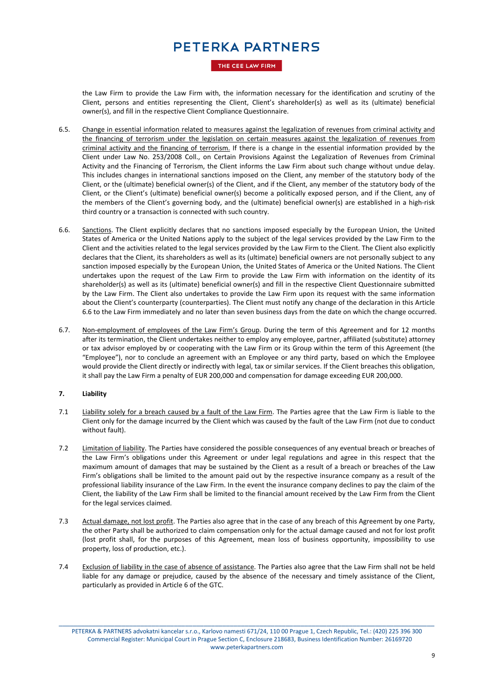#### THE CEE LAW FIRM

the Law Firm to provide the Law Firm with, the information necessary for the identification and scrutiny of the Client, persons and entities representing the Client, Client's shareholder(s) as well as its (ultimate) beneficial owner(s), and fill in the respective Client Compliance Questionnaire.

- 6.5. Change in essential information related to measures against the legalization of revenues from criminal activity and the financing of terrorism under the legislation on certain measures against the legalization of revenues from criminal activity and the financing of terrorism. If there is a change in the essential information provided by the Client under Law No. 253/2008 Coll., on Certain Provisions Against the Legalization of Revenues from Criminal Activity and the Financing of Terrorism, the Client informs the Law Firm about such change without undue delay. This includes changes in international sanctions imposed on the Client, any member of the statutory body of the Client, or the (ultimate) beneficial owner(s) of the Client, and if the Client, any member of the statutory body of the Client, or the Client's (ultimate) beneficial owner(s) become a politically exposed person, and if the Client, any of the members of the Client's governing body, and the (ultimate) beneficial owner(s) are established in a high-risk third country or a transaction is connected with such country.
- 6.6. Sanctions. The Client explicitly declares that no sanctions imposed especially by the European Union, the United States of America or the United Nations apply to the subject of the legal services provided by the Law Firm to the Client and the activities related to the legal services provided by the Law Firm to the Client. The Client also explicitly declares that the Client, its shareholders as well as its (ultimate) beneficial owners are not personally subject to any sanction imposed especially by the European Union, the United States of America or the United Nations. The Client undertakes upon the request of the Law Firm to provide the Law Firm with information on the identity of its shareholder(s) as well as its (ultimate) beneficial owner(s) and fill in the respective Client Questionnaire submitted by the Law Firm. The Client also undertakes to provide the Law Firm upon its request with the same information about the Client's counterparty (counterparties). The Client must notify any change of the declaration in this Article 6.6 to the Law Firm immediately and no later than seven business days from the date on which the change occurred.
- 6.7. Non-employment of employees of the Law Firm's Group. During the term of this Agreement and for 12 months after its termination, the Client undertakes neither to employ any employee, partner, affiliated (substitute) attorney or tax advisor employed by or cooperating with the Law Firm or its Group within the term of this Agreement (the "Employee"), nor to conclude an agreement with an Employee or any third party, based on which the Employee would provide the Client directly or indirectly with legal, tax or similar services. If the Client breaches this obligation, it shall pay the Law Firm a penalty of EUR 200,000 and compensation for damage exceeding EUR 200,000.

### **7. Liability**

- 7.1 Liability solely for a breach caused by a fault of the Law Firm. The Parties agree that the Law Firm is liable to the Client only for the damage incurred by the Client which was caused by the fault of the Law Firm (not due to conduct without fault).
- 7.2 Limitation of liability. The Parties have considered the possible consequences of any eventual breach or breaches of the Law Firm's obligations under this Agreement or under legal regulations and agree in this respect that the maximum amount of damages that may be sustained by the Client as a result of a breach or breaches of the Law Firm's obligations shall be limited to the amount paid out by the respective insurance company as a result of the professional liability insurance of the Law Firm. In the event the insurance company declines to pay the claim of the Client, the liability of the Law Firm shall be limited to the financial amount received by the Law Firm from the Client for the legal services claimed.
- 7.3 Actual damage, not lost profit. The Parties also agree that in the case of any breach of this Agreement by one Party, the other Party shall be authorized to claim compensation only for the actual damage caused and not for lost profit (lost profit shall, for the purposes of this Agreement, mean loss of business opportunity, impossibility to use property, loss of production, etc.).
- 7.4 Exclusion of liability in the case of absence of assistance. The Parties also agree that the Law Firm shall not be held liable for any damage or prejudice, caused by the absence of the necessary and timely assistance of the Client, particularly as provided in Article 6 of the GTC.

\_\_\_\_\_\_\_\_\_\_\_\_\_\_\_\_\_\_\_\_\_\_\_\_\_\_\_\_\_\_\_\_\_\_\_\_\_\_\_\_\_\_\_\_\_\_\_\_\_\_\_\_\_\_\_\_\_\_\_\_\_\_\_\_\_\_\_\_\_\_\_\_\_\_\_\_\_\_\_\_\_\_\_\_\_\_\_\_\_\_\_\_\_\_\_\_\_\_\_\_\_ PETERKA & PARTNERS advokatni kancelar s.r.o., Karlovo namesti 671/24, 110 00 Prague 1, Czech Republic, Tel.: (420) 225 396 300 Commercial Register: Municipal Court in Prague Section C, Enclosure 218683, Business Identification Number: 26169720 www.peterkapartners.com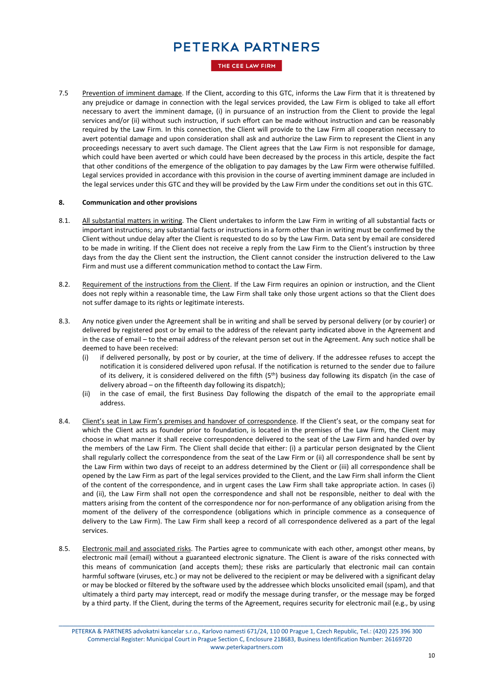#### THE CEE LAW FIRM

7.5 Prevention of imminent damage. If the Client, according to this GTC, informs the Law Firm that it is threatened by any prejudice or damage in connection with the legal services provided, the Law Firm is obliged to take all effort necessary to avert the imminent damage, (i) in pursuance of an instruction from the Client to provide the legal services and/or (ii) without such instruction, if such effort can be made without instruction and can be reasonably required by the Law Firm. In this connection, the Client will provide to the Law Firm all cooperation necessary to avert potential damage and upon consideration shall ask and authorize the Law Firm to represent the Client in any proceedings necessary to avert such damage. The Client agrees that the Law Firm is not responsible for damage, which could have been averted or which could have been decreased by the process in this article, despite the fact that other conditions of the emergence of the obligation to pay damages by the Law Firm were otherwise fulfilled. Legal services provided in accordance with this provision in the course of averting imminent damage are included in the legal services under this GTC and they will be provided by the Law Firm under the conditions set out in this GTC.

#### **8. Communication and other provisions**

- 8.1. All substantial matters in writing. The Client undertakes to inform the Law Firm in writing of all substantial facts or important instructions; any substantial facts or instructions in a form other than in writing must be confirmed by the Client without undue delay after the Client is requested to do so by the Law Firm. Data sent by email are considered to be made in writing. If the Client does not receive a reply from the Law Firm to the Client's instruction by three days from the day the Client sent the instruction, the Client cannot consider the instruction delivered to the Law Firm and must use a different communication method to contact the Law Firm.
- 8.2. Requirement of the instructions from the Client. If the Law Firm requires an opinion or instruction, and the Client does not reply within a reasonable time, the Law Firm shall take only those urgent actions so that the Client does not suffer damage to its rights or legitimate interests.
- 8.3. Any notice given under the Agreement shall be in writing and shall be served by personal delivery (or by courier) or delivered by registered post or by email to the address of the relevant party indicated above in the Agreement and in the case of email – to the email address of the relevant person set out in the Agreement. Any such notice shall be deemed to have been received:
	- (i) if delivered personally, by post or by courier, at the time of delivery. If the addressee refuses to accept the notification it is considered delivered upon refusal. If the notification is returned to the sender due to failure of its delivery, it is considered delivered on the fifth (5th) business day following its dispatch (in the case of delivery abroad – on the fifteenth day following its dispatch);
	- (ii) in the case of email, the first Business Day following the dispatch of the email to the appropriate email address.
- 8.4. Client's seat in Law Firm's premises and handover of correspondence. If the Client's seat, or the company seat for which the Client acts as founder prior to foundation, is located in the premises of the Law Firm, the Client may choose in what manner it shall receive correspondence delivered to the seat of the Law Firm and handed over by the members of the Law Firm. The Client shall decide that either: (i) a particular person designated by the Client shall regularly collect the correspondence from the seat of the Law Firm or (ii) all correspondence shall be sent by the Law Firm within two days of receipt to an address determined by the Client or (iii) all correspondence shall be opened by the Law Firm as part of the legal services provided to the Client, and the Law Firm shall inform the Client of the content of the correspondence, and in urgent cases the Law Firm shall take appropriate action. In cases (i) and (ii), the Law Firm shall not open the correspondence and shall not be responsible, neither to deal with the matters arising from the content of the correspondence nor for non-performance of any obligation arising from the moment of the delivery of the correspondence (obligations which in principle commence as a consequence of delivery to the Law Firm). The Law Firm shall keep a record of all correspondence delivered as a part of the legal services.
- 8.5. Electronic mail and associated risks. The Parties agree to communicate with each other, amongst other means, by electronic mail (email) without a guaranteed electronic signature. The Client is aware of the risks connected with this means of communication (and accepts them); these risks are particularly that electronic mail can contain harmful software (viruses, etc.) or may not be delivered to the recipient or may be delivered with a significant delay or may be blocked or filtered by the software used by the addressee which blocks unsolicited email (spam), and that ultimately a third party may intercept, read or modify the message during transfer, or the message may be forged by a third party. If the Client, during the terms of the Agreement, requires security for electronic mail (e.g., by using

\_\_\_\_\_\_\_\_\_\_\_\_\_\_\_\_\_\_\_\_\_\_\_\_\_\_\_\_\_\_\_\_\_\_\_\_\_\_\_\_\_\_\_\_\_\_\_\_\_\_\_\_\_\_\_\_\_\_\_\_\_\_\_\_\_\_\_\_\_\_\_\_\_\_\_\_\_\_\_\_\_\_\_\_\_\_\_\_\_\_\_\_\_\_\_\_\_\_\_\_\_ PETERKA & PARTNERS advokatni kancelar s.r.o., Karlovo namesti 671/24, 110 00 Prague 1, Czech Republic, Tel.: (420) 225 396 300 Commercial Register: Municipal Court in Prague Section C, Enclosure 218683, Business Identification Number: 26169720 www.peterkapartners.com